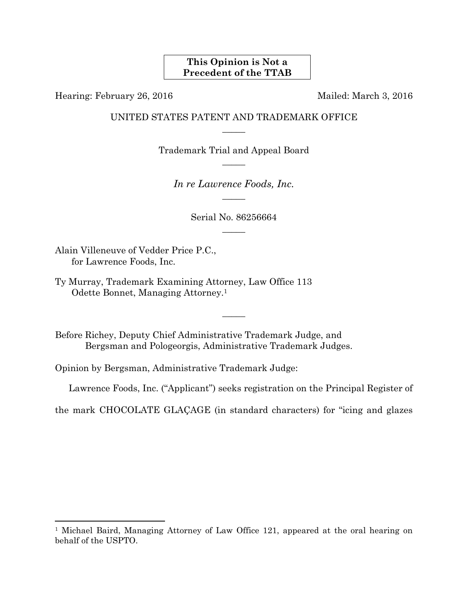#### **This Opinion is Not a Precedent of the TTAB**

Hearing: February 26, 2016 Mailed: March 3, 2016

### UNITED STATES PATENT AND TRADEMARK OFFICE  $\overline{\phantom{a}}$

Trademark Trial and Appeal Board  $\overline{\phantom{a}}$ 

*In re Lawrence Foods, Inc.*   $\overline{\phantom{a}}$ 

> Serial No. 86256664  $\overline{\phantom{a}}$

Alain Villeneuve of Vedder Price P.C., for Lawrence Foods, Inc.

1

Ty Murray, Trademark Examining Attorney, Law Office 113 Odette Bonnet, Managing Attorney.1

Before Richey, Deputy Chief Administrative Trademark Judge, and Bergsman and Pologeorgis, Administrative Trademark Judges.

Opinion by Bergsman, Administrative Trademark Judge:

Lawrence Foods, Inc. ("Applicant") seeks registration on the Principal Register of

the mark CHOCOLATE GLAÇAGE (in standard characters) for "icing and glazes

 $\overline{\phantom{a}}$ 

<sup>1</sup> Michael Baird, Managing Attorney of Law Office 121, appeared at the oral hearing on behalf of the USPTO.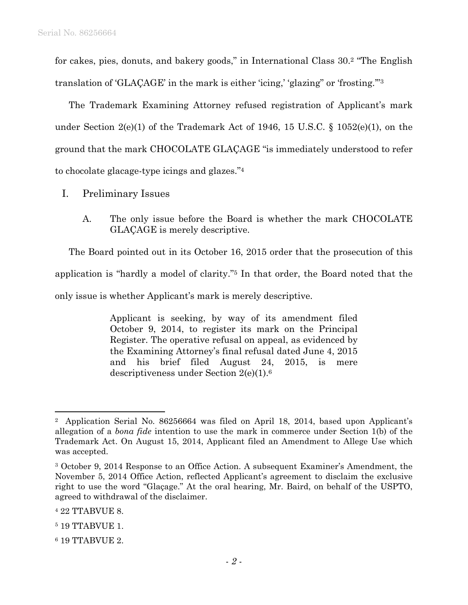for cakes, pies, donuts, and bakery goods," in International Class 30.2 "The English translation of 'GLAÇAGE' in the mark is either 'icing,' 'glazing" or 'frosting.'"3

The Trademark Examining Attorney refused registration of Applicant's mark under Section  $2(e)(1)$  of the Trademark Act of 1946, 15 U.S.C. § 1052(e)(1), on the ground that the mark CHOCOLATE GLAÇAGE "is immediately understood to refer to chocolate glacage-type icings and glazes."4

- I. Preliminary Issues
	- A. The only issue before the Board is whether the mark CHOCOLATE GLAÇAGE is merely descriptive.

The Board pointed out in its October 16, 2015 order that the prosecution of this application is "hardly a model of clarity."5 In that order, the Board noted that the only issue is whether Applicant's mark is merely descriptive.

> Applicant is seeking, by way of its amendment filed October 9, 2014, to register its mark on the Principal Register. The operative refusal on appeal, as evidenced by the Examining Attorney's final refusal dated June 4, 2015 and his brief filed August 24, 2015, is mere descriptiveness under Section 2(e)(1).6

l

<sup>2</sup> Application Serial No. 86256664 was filed on April 18, 2014, based upon Applicant's allegation of a *bona fide* intention to use the mark in commerce under Section 1(b) of the Trademark Act. On August 15, 2014, Applicant filed an Amendment to Allege Use which was accepted.

<sup>3</sup> October 9, 2014 Response to an Office Action. A subsequent Examiner's Amendment, the November 5, 2014 Office Action, reflected Applicant's agreement to disclaim the exclusive right to use the word "Glaçage." At the oral hearing, Mr. Baird, on behalf of the USPTO, agreed to withdrawal of the disclaimer.

<sup>4 22</sup> TTABVUE 8.

<sup>5 19</sup> TTABVUE 1.

<sup>6 19</sup> TTABVUE 2.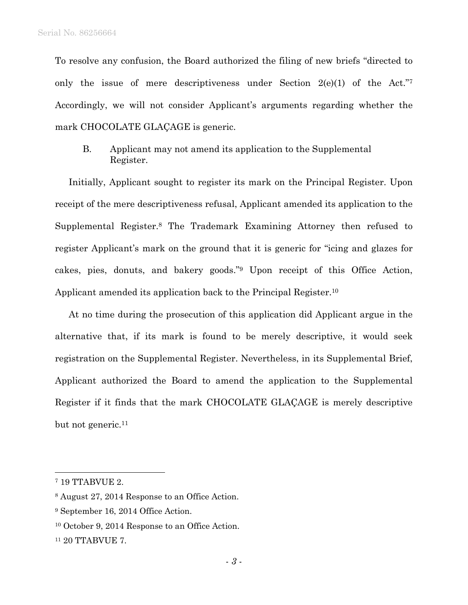To resolve any confusion, the Board authorized the filing of new briefs "directed to only the issue of mere descriptiveness under Section  $2(e)(1)$  of the Act." Accordingly, we will not consider Applicant's arguments regarding whether the mark CHOCOLATE GLAÇAGE is generic.

 B. Applicant may not amend its application to the Supplemental Register.

Initially, Applicant sought to register its mark on the Principal Register. Upon receipt of the mere descriptiveness refusal, Applicant amended its application to the Supplemental Register.8 The Trademark Examining Attorney then refused to register Applicant's mark on the ground that it is generic for "icing and glazes for cakes, pies, donuts, and bakery goods."9 Upon receipt of this Office Action, Applicant amended its application back to the Principal Register.10

At no time during the prosecution of this application did Applicant argue in the alternative that, if its mark is found to be merely descriptive, it would seek registration on the Supplemental Register. Nevertheless, in its Supplemental Brief, Applicant authorized the Board to amend the application to the Supplemental Register if it finds that the mark CHOCOLATE GLAÇAGE is merely descriptive but not generic.<sup>11</sup>

1

<sup>7 19</sup> TTABVUE 2.

<sup>8</sup> August 27, 2014 Response to an Office Action.

<sup>9</sup> September 16, 2014 Office Action.

<sup>10</sup> October 9, 2014 Response to an Office Action.

<sup>11 20</sup> TTABVUE 7.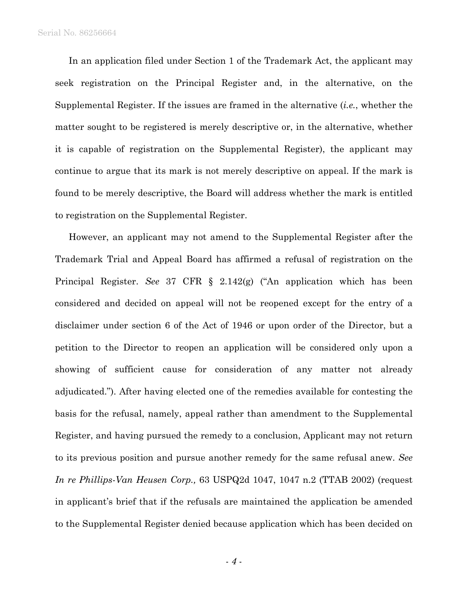In an application filed under Section 1 of the Trademark Act, the applicant may seek registration on the Principal Register and, in the alternative, on the Supplemental Register. If the issues are framed in the alternative (*i.e.*, whether the matter sought to be registered is merely descriptive or, in the alternative, whether it is capable of registration on the Supplemental Register), the applicant may continue to argue that its mark is not merely descriptive on appeal. If the mark is found to be merely descriptive, the Board will address whether the mark is entitled to registration on the Supplemental Register.

However, an applicant may not amend to the Supplemental Register after the Trademark Trial and Appeal Board has affirmed a refusal of registration on the Principal Register. *See* 37 CFR § 2.142(g) ("An application which has been considered and decided on appeal will not be reopened except for the entry of a disclaimer under section 6 of the Act of 1946 or upon order of the Director, but a petition to the Director to reopen an application will be considered only upon a showing of sufficient cause for consideration of any matter not already adjudicated."). After having elected one of the remedies available for contesting the basis for the refusal, namely, appeal rather than amendment to the Supplemental Register, and having pursued the remedy to a conclusion, Applicant may not return to its previous position and pursue another remedy for the same refusal anew. *See In re Phillips-Van Heusen Corp.,* 63 USPQ2d 1047, 1047 n.2 (TTAB 2002) (request in applicant's brief that if the refusals are maintained the application be amended to the Supplemental Register denied because application which has been decided on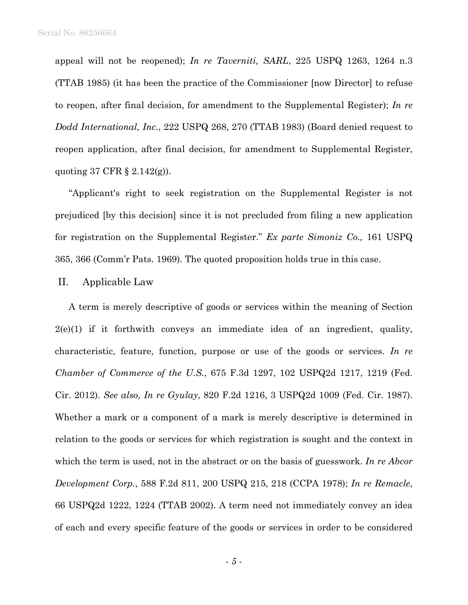appeal will not be reopened); *In re Taverniti, SARL*, 225 USPQ 1263, 1264 n.3 (TTAB 1985) (it has been the practice of the Commissioner [now Director] to refuse to reopen, after final decision, for amendment to the Supplemental Register); *In re Dodd International, Inc.*, 222 USPQ 268, 270 (TTAB 1983) (Board denied request to reopen application, after final decision, for amendment to Supplemental Register, quoting 37 CFR § 2.142(g)).

"Applicant's right to seek registration on the Supplemental Register is not prejudiced [by this decision] since it is not precluded from filing a new application for registration on the Supplemental Register." *Ex parte Simoniz Co.,* 161 USPQ 365, 366 (Comm'r Pats. 1969). The quoted proposition holds true in this case.

#### II. Applicable Law

A term is merely descriptive of goods or services within the meaning of Section  $2(e)(1)$  if it forthwith conveys an immediate idea of an ingredient, quality, characteristic, feature, function, purpose or use of the goods or services. *In re Chamber of Commerce of the U.S.*, 675 F.3d 1297, 102 USPQ2d 1217, 1219 (Fed. Cir. 2012). *See also, In re Gyulay*, 820 F.2d 1216, 3 USPQ2d 1009 (Fed. Cir. 1987). Whether a mark or a component of a mark is merely descriptive is determined in relation to the goods or services for which registration is sought and the context in which the term is used, not in the abstract or on the basis of guesswork. *In re Abcor Development Corp.*, 588 F.2d 811, 200 USPQ 215, 218 (CCPA 1978); *In re Remacle*, 66 USPQ2d 1222, 1224 (TTAB 2002). A term need not immediately convey an idea of each and every specific feature of the goods or services in order to be considered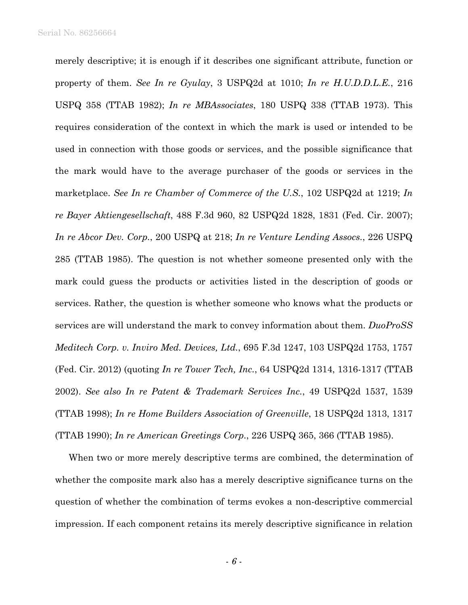merely descriptive; it is enough if it describes one significant attribute, function or property of them. *See In re Gyulay*, 3 USPQ2d at 1010; *In re H.U.D.D.L.E.*, 216 USPQ 358 (TTAB 1982); *In re MBAssociates*, 180 USPQ 338 (TTAB 1973). This requires consideration of the context in which the mark is used or intended to be used in connection with those goods or services, and the possible significance that the mark would have to the average purchaser of the goods or services in the marketplace. *See In re Chamber of Commerce of the U.S.*, 102 USPQ2d at 1219; *In re Bayer Aktiengesellschaft*, 488 F.3d 960, 82 USPQ2d 1828, 1831 (Fed. Cir. 2007); *In re Abcor Dev. Corp.*, 200 USPQ at 218; *In re Venture Lending Assocs.*, 226 USPQ 285 (TTAB 1985). The question is not whether someone presented only with the mark could guess the products or activities listed in the description of goods or services. Rather, the question is whether someone who knows what the products or services are will understand the mark to convey information about them. *DuoProSS Meditech Corp. v. Inviro Med. Devices, Ltd.*, 695 F.3d 1247, 103 USPQ2d 1753, 1757 (Fed. Cir. 2012) (quoting *In re Tower Tech, Inc.*, 64 USPQ2d 1314, 1316-1317 (TTAB 2002). *See also In re Patent & Trademark Services Inc.*, 49 USPQ2d 1537, 1539 (TTAB 1998); *In re Home Builders Association of Greenville*, 18 USPQ2d 1313, 1317 (TTAB 1990); *In re American Greetings Corp.*, 226 USPQ 365, 366 (TTAB 1985).

When two or more merely descriptive terms are combined, the determination of whether the composite mark also has a merely descriptive significance turns on the question of whether the combination of terms evokes a non-descriptive commercial impression. If each component retains its merely descriptive significance in relation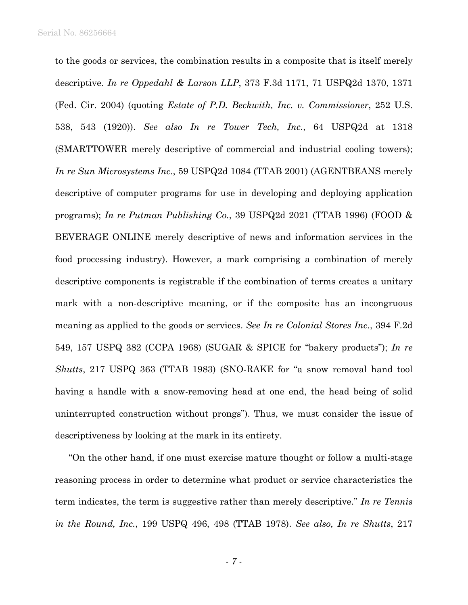to the goods or services, the combination results in a composite that is itself merely descriptive. *In re Oppedahl & Larson LLP*, 373 F.3d 1171, 71 USPQ2d 1370, 1371 (Fed. Cir. 2004) (quoting *Estate of P.D. Beckwith, Inc. v. Commissioner*, 252 U.S. 538, 543 (1920)). *See also In re Tower Tech, Inc.*, 64 USPQ2d at 1318 (SMARTTOWER merely descriptive of commercial and industrial cooling towers); *In re Sun Microsystems Inc*., 59 USPQ2d 1084 (TTAB 2001) (AGENTBEANS merely descriptive of computer programs for use in developing and deploying application programs); *In re Putman Publishing Co.*, 39 USPQ2d 2021 (TTAB 1996) (FOOD & BEVERAGE ONLINE merely descriptive of news and information services in the food processing industry). However, a mark comprising a combination of merely descriptive components is registrable if the combination of terms creates a unitary mark with a non-descriptive meaning, or if the composite has an incongruous meaning as applied to the goods or services. *See In re Colonial Stores Inc.*, 394 F.2d 549, 157 USPQ 382 (CCPA 1968) (SUGAR & SPICE for "bakery products"); *In re Shutts*, 217 USPQ 363 (TTAB 1983) (SNO-RAKE for "a snow removal hand tool having a handle with a snow-removing head at one end, the head being of solid uninterrupted construction without prongs"). Thus, we must consider the issue of descriptiveness by looking at the mark in its entirety.

"On the other hand, if one must exercise mature thought or follow a multi-stage reasoning process in order to determine what product or service characteristics the term indicates, the term is suggestive rather than merely descriptive." *In re Tennis in the Round, Inc.*, 199 USPQ 496, 498 (TTAB 1978). *See also, In re Shutts*, 217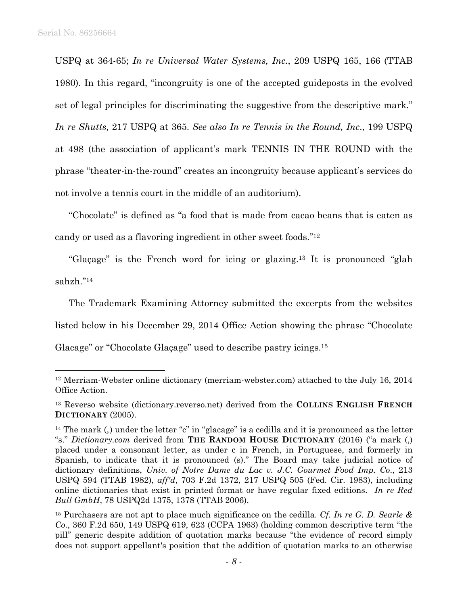$\overline{a}$ 

USPQ at 364-65; *In re Universal Water Systems, Inc.*, 209 USPQ 165, 166 (TTAB 1980). In this regard, "incongruity is one of the accepted guideposts in the evolved set of legal principles for discriminating the suggestive from the descriptive mark." *In re Shutts,* 217 USPQ at 365. *See also In re Tennis in the Round, Inc*., 199 USPQ at 498 (the association of applicant's mark TENNIS IN THE ROUND with the phrase "theater-in-the-round" creates an incongruity because applicant's services do not involve a tennis court in the middle of an auditorium).

"Chocolate" is defined as "a food that is made from cacao beans that is eaten as candy or used as a flavoring ingredient in other sweet foods."12

"Glaçage" is the French word for icing or glazing.13 It is pronounced "glah sahzh."14

The Trademark Examining Attorney submitted the excerpts from the websites listed below in his December 29, 2014 Office Action showing the phrase "Chocolate Glacage" or "Chocolate Glaçage" used to describe pastry icings.15

<sup>12</sup> Merriam-Webster online dictionary (merriam-webster.com) attached to the July 16, 2014 Office Action.

<sup>13</sup> Reverso website (dictionary.reverso.net) derived from the **COLLINS ENGLISH FRENCH DICTIONARY** (2005).

<sup>&</sup>lt;sup>14</sup> The mark (,) under the letter "c" in "glacage" is a cedilla and it is pronounced as the letter "s." *Dictionary.com* derived from **THE RANDOM HOUSE DICTIONARY** (2016) ("a mark (,) placed under a consonant letter, as under c in French, in Portuguese, and formerly in Spanish, to indicate that it is pronounced (s)." The Board may take judicial notice of dictionary definitions, *Univ. of Notre Dame du Lac v. J.C. Gourmet Food Imp. Co*., 213 USPQ 594 (TTAB 1982), *aff'd*, 703 F.2d 1372, 217 USPQ 505 (Fed. Cir. 1983), including online dictionaries that exist in printed format or have regular fixed editions. *In re Red Bull GmbH*, 78 USPQ2d 1375, 1378 (TTAB 2006).

<sup>15</sup> Purchasers are not apt to place much significance on the cedilla. *Cf. In re G. D. Searle & Co.*, 360 F.2d 650, 149 USPQ 619, 623 (CCPA 1963) (holding common descriptive term "the pill" generic despite addition of quotation marks because "the evidence of record simply does not support appellant's position that the addition of quotation marks to an otherwise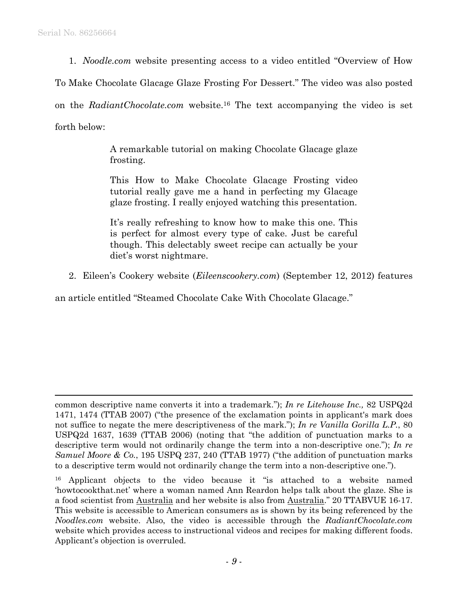$\overline{a}$ 

1. *Noodle.com* website presenting access to a video entitled "Overview of How

To Make Chocolate Glacage Glaze Frosting For Dessert." The video was also posted

on the *RadiantChocolate.com* website.16 The text accompanying the video is set forth below:

> A remarkable tutorial on making Chocolate Glacage glaze frosting.

> This How to Make Chocolate Glacage Frosting video tutorial really gave me a hand in perfecting my Glacage glaze frosting. I really enjoyed watching this presentation.

> It's really refreshing to know how to make this one. This is perfect for almost every type of cake. Just be careful though. This delectably sweet recipe can actually be your diet's worst nightmare.

2. Eileen's Cookery website (*Eileenscookery.com*) (September 12, 2012) features

an article entitled "Steamed Chocolate Cake With Chocolate Glacage."

common descriptive name converts it into a trademark."); *In re Litehouse Inc.,* 82 USPQ2d 1471, 1474 (TTAB 2007) ("the presence of the exclamation points in applicant's mark does not suffice to negate the mere descriptiveness of the mark."); *In re Vanilla Gorilla L.P.*, 80 USPQ2d 1637, 1639 (TTAB 2006) (noting that "the addition of punctuation marks to a descriptive term would not ordinarily change the term into a non-descriptive one."); *In re Samuel Moore & Co.*, 195 USPQ 237, 240 (TTAB 1977) ("the addition of punctuation marks to a descriptive term would not ordinarily change the term into a non-descriptive one.").

<sup>16</sup> Applicant objects to the video because it "is attached to a website named 'howtocookthat.net' where a woman named Ann Reardon helps talk about the glaze. She is a food scientist from Australia and her website is also from Australia." 20 TTABVUE 16-17. This website is accessible to American consumers as is shown by its being referenced by the *Noodles.com* website. Also, the video is accessible through the *RadiantChocolate.com* website which provides access to instructional videos and recipes for making different foods. Applicant's objection is overruled.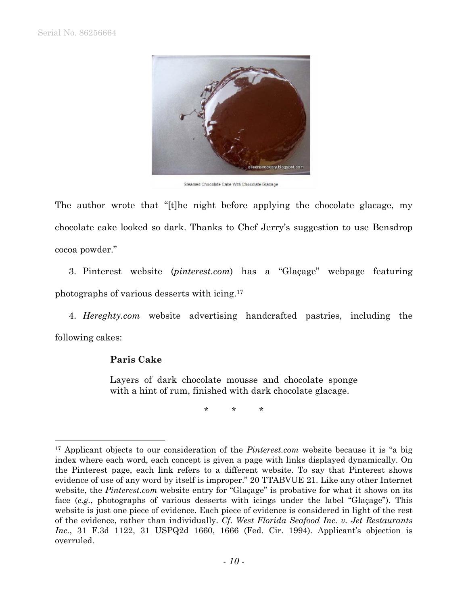

Steamed Chocolate Cake With Chocolate Glacage

The author wrote that "[t]he night before applying the chocolate glacage, my chocolate cake looked so dark. Thanks to Chef Jerry's suggestion to use Bensdrop cocoa powder."

3. Pinterest website (*pinterest.com*) has a "Glaçage" webpage featuring photographs of various desserts with icing.17

4. *Hereghty.com* website advertising handcrafted pastries, including the following cakes:

## **Paris Cake**

1

Layers of dark chocolate mousse and chocolate sponge with a hint of rum, finished with dark chocolate glacage.

\* \* \*

<sup>17</sup> Applicant objects to our consideration of the *Pinterest.com* website because it is "a big index where each word, each concept is given a page with links displayed dynamically. On the Pinterest page, each link refers to a different website. To say that Pinterest shows evidence of use of any word by itself is improper." 20 TTABVUE 21. Like any other Internet website, the *Pinterest.com* website entry for "Glaçage" is probative for what it shows on its face (*e.g.*, photographs of various desserts with icings under the label "Glaçage"). This website is just one piece of evidence. Each piece of evidence is considered in light of the rest of the evidence, rather than individually. *Cf. West Florida Seafood Inc. v. Jet Restaurants Inc.*, 31 F.3d 1122, 31 USPQ2d 1660, 1666 (Fed. Cir. 1994). Applicant's objection is overruled.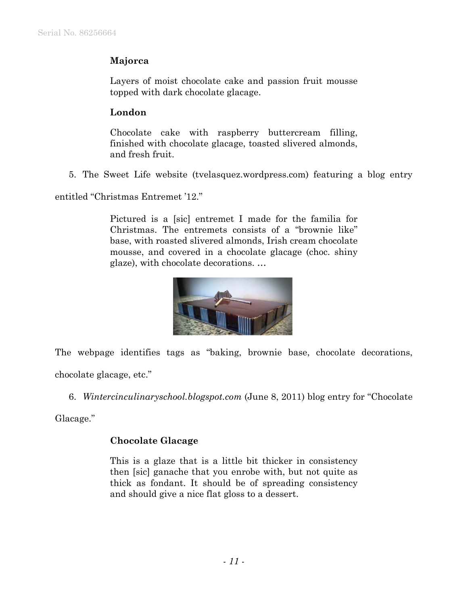# **Majorca**

Layers of moist chocolate cake and passion fruit mousse topped with dark chocolate glacage.

# **London**

Chocolate cake with raspberry buttercream filling, finished with chocolate glacage, toasted slivered almonds, and fresh fruit.

5. The Sweet Life website (tvelasquez.wordpress.com) featuring a blog entry

entitled "Christmas Entremet '12."

Pictured is a [sic] entremet I made for the familia for Christmas. The entremets consists of a "brownie like" base, with roasted slivered almonds, Irish cream chocolate mousse, and covered in a chocolate glacage (choc. shiny glaze), with chocolate decorations. …



The webpage identifies tags as "baking, brownie base, chocolate decorations, chocolate glacage, etc."

6. *Wintercinculinaryschool.blogspot.com* (June 8, 2011) blog entry for "Chocolate

Glacage."

## **Chocolate Glacage**

This is a glaze that is a little bit thicker in consistency then [sic] ganache that you enrobe with, but not quite as thick as fondant. It should be of spreading consistency and should give a nice flat gloss to a dessert.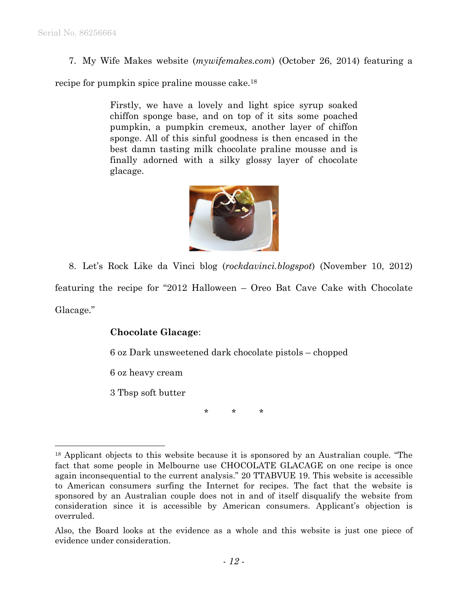7. My Wife Makes website (*mywifemakes.com*) (October 26, 2014) featuring a

recipe for pumpkin spice praline mousse cake.18

Firstly, we have a lovely and light spice syrup soaked chiffon sponge base, and on top of it sits some poached pumpkin, a pumpkin cremeux, another layer of chiffon sponge. All of this sinful goodness is then encased in the best damn tasting milk chocolate praline mousse and is finally adorned with a silky glossy layer of chocolate glacage.



8. Let's Rock Like da Vinci blog (*rockdavinci.blogspot*) (November 10, 2012) featuring the recipe for "2012 Halloween – Oreo Bat Cave Cake with Chocolate Glacage."

### **Chocolate Glacage**:

6 oz Dark unsweetened dark chocolate pistols – chopped

6 oz heavy cream

3 Tbsp soft butter

1

\* \* \*

<sup>&</sup>lt;sup>18</sup> Applicant objects to this website because it is sponsored by an Australian couple. "The fact that some people in Melbourne use CHOCOLATE GLACAGE on one recipe is once again inconsequential to the current analysis." 20 TTABVUE 19. This website is accessible to American consumers surfing the Internet for recipes. The fact that the website is sponsored by an Australian couple does not in and of itself disqualify the website from consideration since it is accessible by American consumers. Applicant's objection is overruled.

Also, the Board looks at the evidence as a whole and this website is just one piece of evidence under consideration.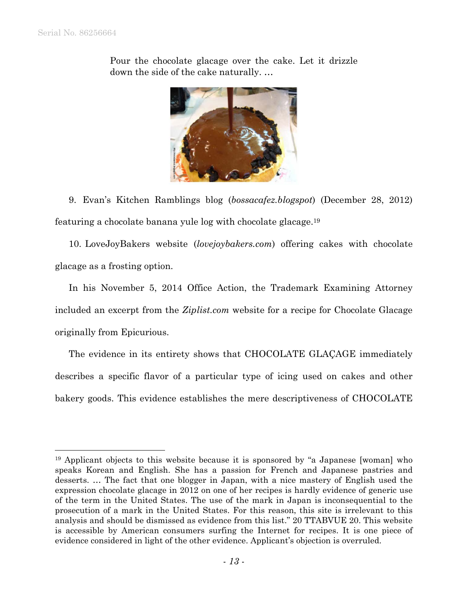1



Pour the chocolate glacage over the cake. Let it drizzle down the side of the cake naturally. …

9. Evan's Kitchen Ramblings blog (*bossacafez.blogspot*) (December 28, 2012) featuring a chocolate banana yule log with chocolate glacage.19

10. LoveJoyBakers website (*lovejoybakers.com*) offering cakes with chocolate glacage as a frosting option.

In his November 5, 2014 Office Action, the Trademark Examining Attorney included an excerpt from the *Ziplist.com* website for a recipe for Chocolate Glacage originally from Epicurious.

The evidence in its entirety shows that CHOCOLATE GLAÇAGE immediately describes a specific flavor of a particular type of icing used on cakes and other bakery goods. This evidence establishes the mere descriptiveness of CHOCOLATE

<sup>&</sup>lt;sup>19</sup> Applicant objects to this website because it is sponsored by "a Japanese [woman] who speaks Korean and English. She has a passion for French and Japanese pastries and desserts. … The fact that one blogger in Japan, with a nice mastery of English used the expression chocolate glacage in 2012 on one of her recipes is hardly evidence of generic use of the term in the United States. The use of the mark in Japan is inconsequential to the prosecution of a mark in the United States. For this reason, this site is irrelevant to this analysis and should be dismissed as evidence from this list." 20 TTABVUE 20. This website is accessible by American consumers surfing the Internet for recipes. It is one piece of evidence considered in light of the other evidence. Applicant's objection is overruled.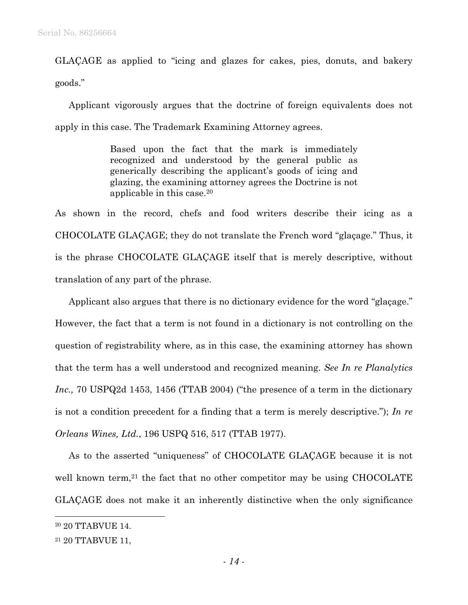GLAÇAGE as applied to "icing and glazes for cakes, pies, donuts, and bakery goods."

Applicant vigorously argues that the doctrine of foreign equivalents does not apply in this case. The Trademark Examining Attorney agrees.

> Based upon the fact that the mark is immediately recognized and understood by the general public as generically describing the applicant's goods of icing and glazing, the examining attorney agrees the Doctrine is not applicable in this case.20

As shown in the record, chefs and food writers describe their icing as a CHOCOLATE GLAÇAGE; they do not translate the French word "glaçage." Thus, it is the phrase CHOCOLATE GLAÇAGE itself that is merely descriptive, without translation of any part of the phrase.

Applicant also argues that there is no dictionary evidence for the word "glaçage." However, the fact that a term is not found in a dictionary is not controlling on the question of registrability where, as in this case, the examining attorney has shown that the term has a well understood and recognized meaning. *See In re Planalytics Inc.,* 70 USPQ2d 1453, 1456 (TTAB 2004) ("the presence of a term in the dictionary is not a condition precedent for a finding that a term is merely descriptive."); *In re Orleans Wines, Ltd.*, 196 USPQ 516, 517 (TTAB 1977).

As to the asserted "uniqueness" of CHOCOLATE GLAÇAGE because it is not well known term,<sup>21</sup> the fact that no other competitor may be using CHOCOLATE GLAÇAGE does not make it an inherently distinctive when the only significance

 $\overline{a}$ 

<sup>20 20</sup> TTABVUE 14.

<sup>21 20</sup> TTABVUE 11,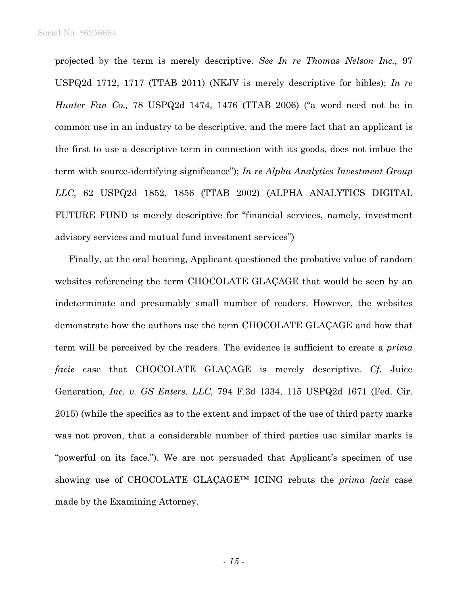projected by the term is merely descriptive. *See In re Thomas Nelson Inc.,* 97 USPQ2d 1712, 1717 (TTAB 2011) (NKJV is merely descriptive for bibles); *In re Hunter Fan Co.,* 78 USPQ2d 1474, 1476 (TTAB 2006) ("a word need not be in common use in an industry to be descriptive, and the mere fact that an applicant is the first to use a descriptive term in connection with its goods, does not imbue the term with source-identifying significance"); *In re Alpha Analytics Investment Group LLC*, 62 USPQ2d 1852, 1856 (TTAB 2002) (ALPHA ANALYTICS DIGITAL FUTURE FUND is merely descriptive for "financial services, namely, investment advisory services and mutual fund investment services")

Finally, at the oral hearing, Applicant questioned the probative value of random websites referencing the term CHOCOLATE GLAÇAGE that would be seen by an indeterminate and presumably small number of readers. However, the websites demonstrate how the authors use the term CHOCOLATE GLAÇAGE and how that term will be perceived by the readers. The evidence is sufficient to create a *prima facie* case that CHOCOLATE GLAÇAGE is merely descriptive. *Cf.* Juice Generation*, Inc. v. GS Enters. LLC,* 794 F.3d 1334, 115 USPQ2d 1671 (Fed. Cir. 2015) (while the specifics as to the extent and impact of the use of third party marks was not proven, that a considerable number of third parties use similar marks is "powerful on its face."). We are not persuaded that Applicant's specimen of use showing use of CHOCOLATE GLAÇAGE™ ICING rebuts the *prima facie* case made by the Examining Attorney.